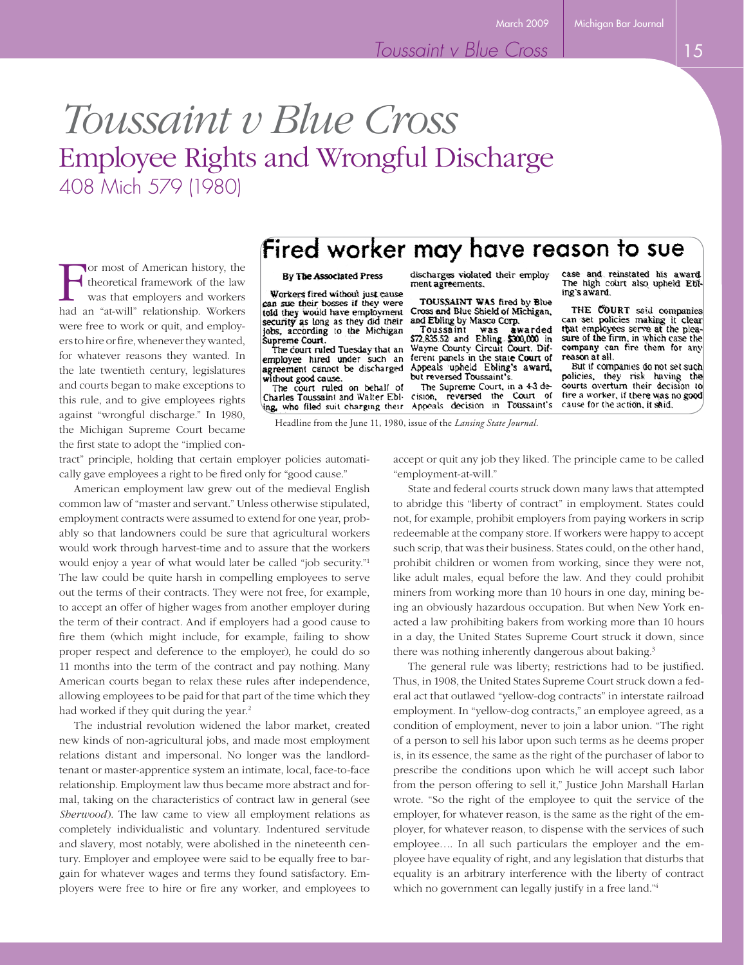## *Toussaint v Blue Cross* Employee Rights and Wrongful Discharge 408 Mich 579 (1980)

For most of American history, the theoretical framework of the law was that employers and workers had an "at-will" relationship. Workers were free to work or quit, and employers to hire or fire, whenever they wanted, for whatever reasons they wanted. In the late twentieth century, legislatures and courts began to make exceptions to this rule, and to give employees rights against "wrongful discharge." In 1980, the Michigan Supreme Court became the first state to adopt the "implied con-

### Fired worker may have reason to sue

#### By The Associated Press

Workers fired without just cause can sue their bosses if they were told they would have employment security as long as they did their jobs, according to the Michigan Supreme Court

The court ruled Tuesday that an employee hired under such an agreement cannot be discharged without good cause.

The court ruled on behalf of Charles Toussaint and Walter Ebling, who filed suit charging their Appeals decision in Toussaint's

discharges violated their employment agreements.

TOUSSAINT WAS fired by Blue Cross and Blue Shield of Michigan, and Ebling by Masco Corp.

Toussaint was awarded \$72,835.52 and Ebling. \$300,000 in<br>Wayne County Circuit Court. Different panels in the state Court of Appeals upheld Ebling's award, but reversed Toussaint's

The Supreme Court, in a 4-3 decision. reversed the Court of case and reinstated his award The high court also upheld Ebling's award.

THE COURT said companies can set policies making it clear<br>that employees serve at the pleasure of the firm, in which case the company can fire them for any reason at all.

But if companies do not set such policies, they risk having the courts overturn their decision to fire a worker, if there was no good cause for the action, it said.

Headline from the June 11, 1980, issue of the *Lansing State Journal.*

tract" principle, holding that certain employer policies automatically gave employees a right to be fired only for "good cause."

American employment law grew out of the medieval English common law of "master and servant." Unless otherwise stipulated, employment contracts were assumed to extend for one year, probably so that landowners could be sure that agricultural workers would work through harvest-time and to assure that the workers would enjoy a year of what would later be called "job security."1 The law could be quite harsh in compelling employees to serve out the terms of their contracts. They were not free, for example, to accept an offer of higher wages from another employer during the term of their contract. And if employers had a good cause to fire them (which might include, for example, failing to show proper respect and deference to the employer), he could do so 11 months into the term of the contract and pay nothing. Many American courts began to relax these rules after independence, allowing employees to be paid for that part of the time which they had worked if they quit during the year.<sup>2</sup>

The industrial revolution widened the labor market, created new kinds of non-agricultural jobs, and made most employment relations distant and impersonal. No longer was the landlordtenant or master-apprentice system an intimate, local, face-to-face relationship. Employment law thus became more abstract and formal, taking on the characteristics of contract law in general (see *Sherwood*). The law came to view all employment relations as completely individualistic and voluntary. Indentured servitude and slavery, most notably, were abolished in the nineteenth century. Employer and employee were said to be equally free to bargain for whatever wages and terms they found satisfactory. Employers were free to hire or fire any worker, and employees to accept or quit any job they liked. The principle came to be called "employment-at-will."

State and federal courts struck down many laws that attempted to abridge this "liberty of contract" in employment. States could not, for example, prohibit employers from paying workers in scrip redeemable at the company store. If workers were happy to accept such scrip, that was their business. States could, on the other hand, prohibit children or women from working, since they were not, like adult males, equal before the law. And they could prohibit miners from working more than 10 hours in one day, mining being an obviously hazardous occupation. But when New York enacted a law prohibiting bakers from working more than 10 hours in a day, the United States Supreme Court struck it down, since there was nothing inherently dangerous about baking.<sup>3</sup>

The general rule was liberty; restrictions had to be justified. Thus, in 1908, the United States Supreme Court struck down a federal act that outlawed "yellow-dog contracts" in interstate railroad employment. In "yellow-dog contracts," an employee agreed, as a condition of employment, never to join a labor union. "The right of a person to sell his labor upon such terms as he deems proper is, in its essence, the same as the right of the purchaser of labor to prescribe the conditions upon which he will accept such labor from the person offering to sell it," Justice John Marshall Harlan wrote. "So the right of the employee to quit the service of the employer, for whatever reason, is the same as the right of the employer, for whatever reason, to dispense with the services of such employee…. In all such particulars the employer and the employee have equality of right, and any legislation that disturbs that equality is an arbitrary interference with the liberty of contract which no government can legally justify in a free land."4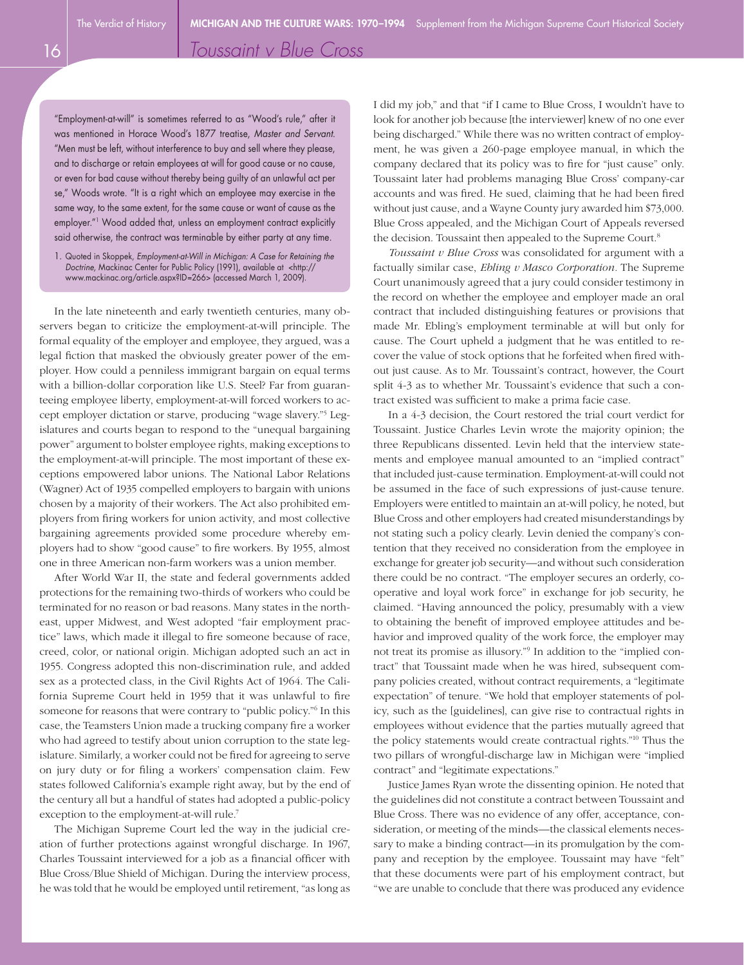*Toussaint v Blue Cross*

"Employment-at-will" is sometimes referred to as "Wood's rule," after it was mentioned in Horace Wood's 1877 treatise, *Master and Servant.*  "Men must be left, without interference to buy and sell where they please, and to discharge or retain employees at will for good cause or no cause, or even for bad cause without thereby being guilty of an unlawful act per se," Woods wrote. "It is a right which an employee may exercise in the same way, to the same extent, for the same cause or want of cause as the employer."<sup>1</sup> Wood added that, unless an employment contract explicitly said otherwise, the contract was terminable by either party at any time.

1. Quoted in Skoppek, *Employment-at-Will in Michigan: A Case for Retaining the Doctrine,* Mackinac Center for Public Policy (1991), available at <http:// www.mackinac.org/article.aspx?ID=266> (accessed March 1, 2009).

In the late nineteenth and early twentieth centuries, many observers began to criticize the employment-at-will principle. The formal equality of the employer and employee, they argued, was a legal fiction that masked the obviously greater power of the employer. How could a penniless immigrant bargain on equal terms with a billion-dollar corporation like U.S. Steel? Far from guaranteeing employee liberty, employment-at-will forced workers to accept employer dictation or starve, producing "wage slavery."5 Legislatures and courts began to respond to the "unequal bargaining power" argument to bolster employee rights, making exceptions to the employment-at-will principle. The most important of these exceptions empowered labor unions. The National Labor Relations (Wagner) Act of 1935 compelled employers to bargain with unions chosen by a majority of their workers. The Act also prohibited employers from firing workers for union activity, and most collective bargaining agreements provided some procedure whereby employers had to show "good cause" to fire workers. By 1955, almost one in three American non-farm workers was a union member.

After World War II, the state and federal governments added protections for the remaining two-thirds of workers who could be terminated for no reason or bad reasons. Many states in the northeast, upper Midwest, and West adopted "fair employment practice" laws, which made it illegal to fire someone because of race, creed, color, or national origin. Michigan adopted such an act in 1955. Congress adopted this non-discrimination rule, and added sex as a protected class, in the Civil Rights Act of 1964. The California Supreme Court held in 1959 that it was unlawful to fire someone for reasons that were contrary to "public policy."6 In this case, the Teamsters Union made a trucking company fire a worker who had agreed to testify about union corruption to the state legislature. Similarly, a worker could not be fired for agreeing to serve on jury duty or for filing a workers' compensation claim. Few states followed California's example right away, but by the end of the century all but a handful of states had adopted a public-policy exception to the employment-at-will rule.7

The Michigan Supreme Court led the way in the judicial creation of further protections against wrongful discharge. In 1967, Charles Toussaint interviewed for a job as a financial officer with Blue Cross/Blue Shield of Michigan. During the interview process, he was told that he would be employed until retirement, "as long as I did my job," and that "if I came to Blue Cross, I wouldn't have to look for another job because [the interviewer] knew of no one ever being discharged." While there was no written contract of employment, he was given a 260-page employee manual, in which the company declared that its policy was to fire for "just cause" only. Toussaint later had problems managing Blue Cross' company-car accounts and was fired. He sued, claiming that he had been fired without just cause, and a Wayne County jury awarded him \$73,000. Blue Cross appealed, and the Michigan Court of Appeals reversed the decision. Toussaint then appealed to the Supreme Court.<sup>8</sup>

*Toussaint v Blue Cross* was consolidated for argument with a factually similar case, *Ebling v Masco Corporation.* The Supreme Court unanimously agreed that a jury could consider testimony in the record on whether the employee and employer made an oral contract that included distinguishing features or provisions that made Mr. Ebling's employment terminable at will but only for cause. The Court upheld a judgment that he was entitled to recover the value of stock options that he forfeited when fired without just cause. As to Mr. Toussaint's contract, however, the Court split 4-3 as to whether Mr. Toussaint's evidence that such a contract existed was sufficient to make a prima facie case.

In a 4-3 decision, the Court restored the trial court verdict for Toussaint. Justice Charles Levin wrote the majority opinion; the three Republicans dissented. Levin held that the interview statements and employee manual amounted to an "implied contract" that included just-cause termination. Employment-at-will could not be assumed in the face of such expressions of just-cause tenure. Employers were entitled to maintain an at-will policy, he noted, but Blue Cross and other employers had created misunderstandings by not stating such a policy clearly. Levin denied the company's contention that they received no consideration from the employee in exchange for greater job security—and without such consideration there could be no contract. "The employer secures an orderly, cooperative and loyal work force" in exchange for job security, he claimed. "Having announced the policy, presumably with a view to obtaining the benefit of improved employee attitudes and behavior and improved quality of the work force, the employer may not treat its promise as illusory."9 In addition to the "implied contract" that Toussaint made when he was hired, subsequent company policies created, without contract requirements, a "legitimate expectation" of tenure. "We hold that employer statements of policy, such as the [guidelines], can give rise to contractual rights in employees without evidence that the parties mutually agreed that the policy statements would create contractual rights."10 Thus the two pillars of wrongful-discharge law in Michigan were "implied contract" and "legitimate expectations."

Justice James Ryan wrote the dissenting opinion. He noted that the guidelines did not constitute a contract between Toussaint and Blue Cross. There was no evidence of any offer, acceptance, consideration, or meeting of the minds—the classical elements necessary to make a binding contract—in its promulgation by the company and reception by the employee. Toussaint may have "felt" that these documents were part of his employment contract, but "we are unable to conclude that there was produced any evidence